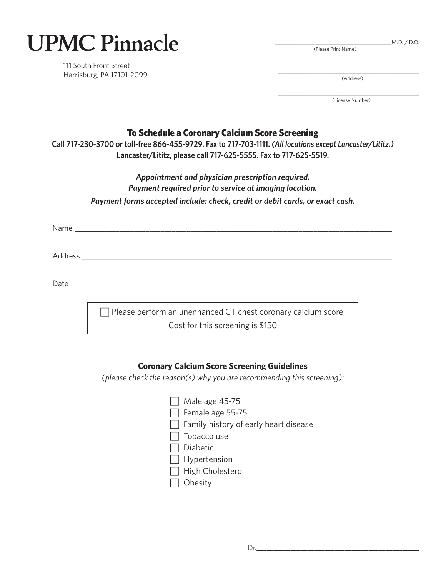| <b>UPMC Pinnacle</b> |  |
|----------------------|--|
|----------------------|--|

111 South Front Street Harrisburg, PA 17101-2099

| M.D. / D.O. |  |
|-------------|--|
|             |  |

\_\_\_\_\_\_\_\_\_\_\_\_\_\_\_\_\_\_\_\_\_\_\_\_\_\_\_\_\_\_\_\_\_\_\_\_\_\_\_\_\_\_\_\_\_\_\_\_\_\_\_\_ (Address)

(Please Print Name)

\_\_\_\_\_\_\_\_\_\_\_\_\_\_\_\_\_\_\_\_\_\_\_\_\_\_\_\_\_\_\_\_\_\_\_\_\_\_\_\_\_\_\_\_\_\_\_\_\_\_\_\_ (License Number)

## To Schedule a Coronary Calcium Score Screening

**Call 717-230-3700 or toll-free 866-455-9729. Fax to 717-703-1111.** *(All locations except Lancaster/Lititz.)* **Lancaster/Lititz, please call 717-625-5555. Fax to 717-625-5519.**

## *Appointment and physician prescription required. Payment required prior to service at imaging location. Payment forms accepted include: check, credit or debit cards, or exact cash.*

Name \_\_\_\_\_\_\_\_\_\_\_\_\_\_\_\_\_\_\_\_\_\_\_\_\_\_\_\_\_\_\_\_\_\_\_\_\_\_\_\_\_\_\_\_\_\_\_\_\_\_\_\_\_\_\_\_\_\_\_\_\_\_\_\_\_\_\_\_\_\_\_\_\_\_\_\_\_\_\_\_\_\_\_\_\_

Address \_\_\_\_\_\_\_\_\_\_\_\_\_\_\_\_\_\_\_\_\_\_\_\_\_\_\_\_\_\_\_\_\_\_\_\_\_\_\_\_\_\_\_\_\_\_\_\_\_\_\_\_\_\_\_\_\_\_\_\_\_\_\_\_\_\_\_\_\_\_\_\_\_\_\_\_\_\_\_\_\_\_\_

Date\_\_\_\_\_\_\_\_\_\_\_\_\_\_\_\_\_\_\_\_\_\_\_\_\_\_\_

Please perform an unenhanced CT chest coronary calcium score. Cost for this screening is \$150

### **Coronary Calcium Score Screening Guidelines**

*(please check the reason(s) why you are recommending this screening):*

| Male age 45-75                               |
|----------------------------------------------|
| $\Box$ Female age 55-75                      |
| $\Box$ Family history of early heart disease |
| Tobacco use                                  |
| Diabetic                                     |
| $\Box$ Hypertension                          |
| $\Box$ High Cholesterol                      |
| Obesity                                      |
|                                              |